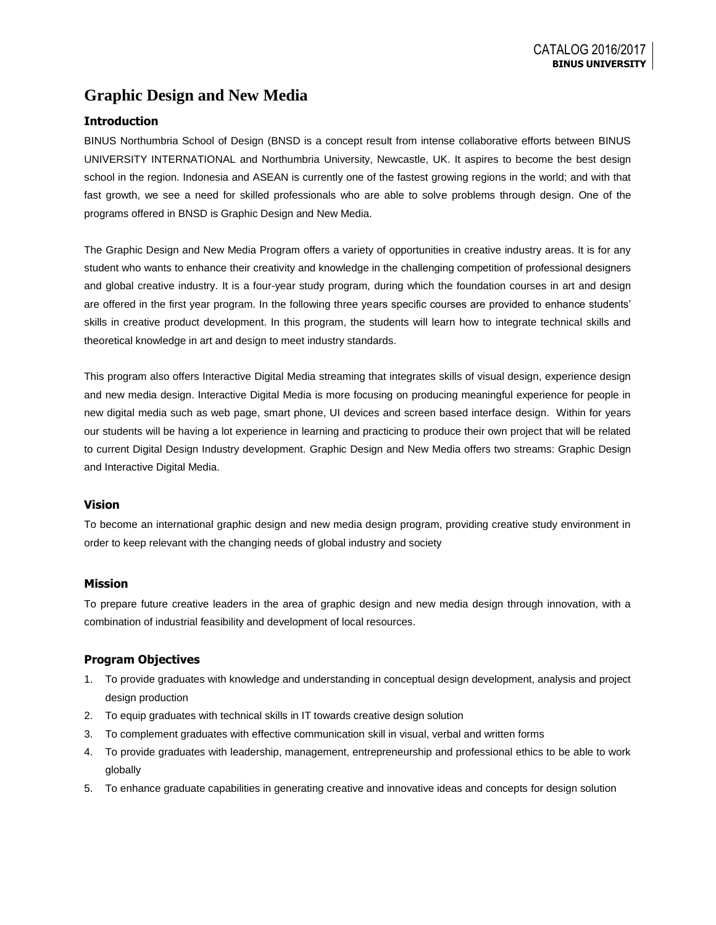# **Graphic Design and New Media**

# **Introduction**

BINUS Northumbria School of Design (BNSD is a concept result from intense collaborative efforts between BINUS UNIVERSITY INTERNATIONAL and Northumbria University, Newcastle, UK. It aspires to become the best design school in the region. Indonesia and ASEAN is currently one of the fastest growing regions in the world; and with that fast growth, we see a need for skilled professionals who are able to solve problems through design. One of the programs offered in BNSD is Graphic Design and New Media.

The Graphic Design and New Media Program offers a variety of opportunities in creative industry areas. It is for any student who wants to enhance their creativity and knowledge in the challenging competition of professional designers and global creative industry. It is a four-year study program, during which the foundation courses in art and design are offered in the first year program. In the following three years specific courses are provided to enhance students' skills in creative product development. In this program, the students will learn how to integrate technical skills and theoretical knowledge in art and design to meet industry standards.

This program also offers Interactive Digital Media streaming that integrates skills of visual design, experience design and new media design. Interactive Digital Media is more focusing on producing meaningful experience for people in new digital media such as web page, smart phone, UI devices and screen based interface design. Within for years our students will be having a lot experience in learning and practicing to produce their own project that will be related to current Digital Design Industry development. Graphic Design and New Media offers two streams: Graphic Design and Interactive Digital Media.

# **Vision**

To become an international graphic design and new media design program, providing creative study environment in order to keep relevant with the changing needs of global industry and society

# **Mission**

To prepare future creative leaders in the area of graphic design and new media design through innovation, with a combination of industrial feasibility and development of local resources.

# **Program Objectives**

- 1. To provide graduates with knowledge and understanding in conceptual design development, analysis and project design production
- 2. To equip graduates with technical skills in IT towards creative design solution
- 3. To complement graduates with effective communication skill in visual, verbal and written forms
- 4. To provide graduates with leadership, management, entrepreneurship and professional ethics to be able to work globally
- 5. To enhance graduate capabilities in generating creative and innovative ideas and concepts for design solution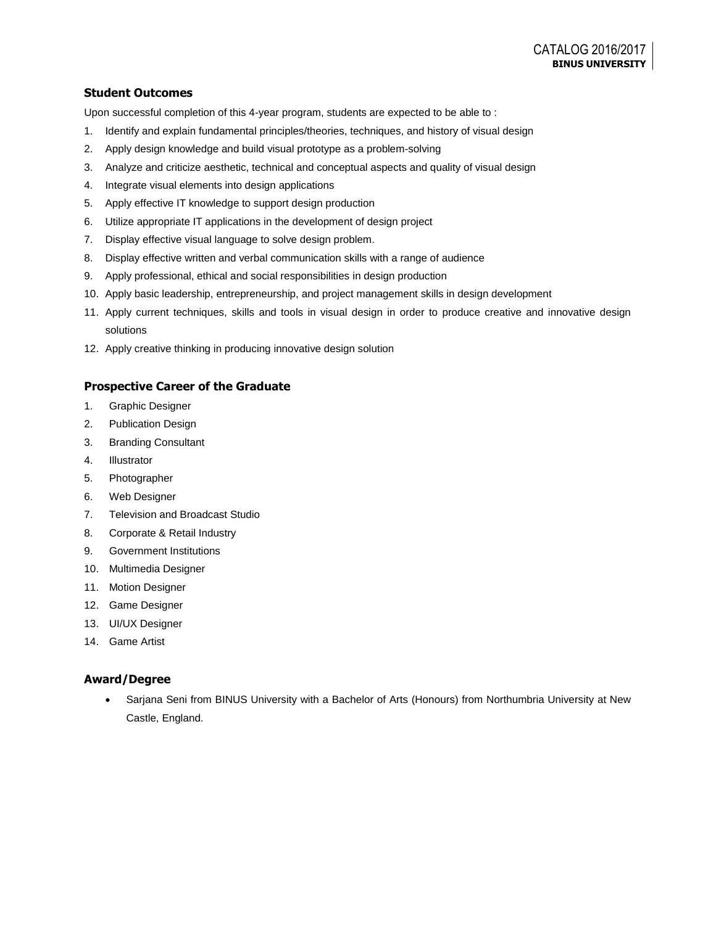# **Student Outcomes**

Upon successful completion of this 4-year program, students are expected to be able to :

- 1. Identify and explain fundamental principles/theories, techniques, and history of visual design
- 2. Apply design knowledge and build visual prototype as a problem-solving
- 3. Analyze and criticize aesthetic, technical and conceptual aspects and quality of visual design
- 4. Integrate visual elements into design applications
- 5. Apply effective IT knowledge to support design production
- 6. Utilize appropriate IT applications in the development of design project
- 7. Display effective visual language to solve design problem.
- 8. Display effective written and verbal communication skills with a range of audience
- 9. Apply professional, ethical and social responsibilities in design production
- 10. Apply basic leadership, entrepreneurship, and project management skills in design development
- 11. Apply current techniques, skills and tools in visual design in order to produce creative and innovative design solutions
- 12. Apply creative thinking in producing innovative design solution

# **Prospective Career of the Graduate**

- 1. Graphic Designer
- 2. Publication Design
- 3. Branding Consultant
- 4. Illustrator
- 5. Photographer
- 6. Web Designer
- 7. Television and Broadcast Studio
- 8. Corporate & Retail Industry
- 9. Government Institutions
- 10. Multimedia Designer
- 11. Motion Designer
- 12. Game Designer
- 13. UI/UX Designer
- 14. Game Artist

# **Award/Degree**

 Sarjana Seni from BINUS University with a Bachelor of Arts (Honours) from Northumbria University at New Castle, England.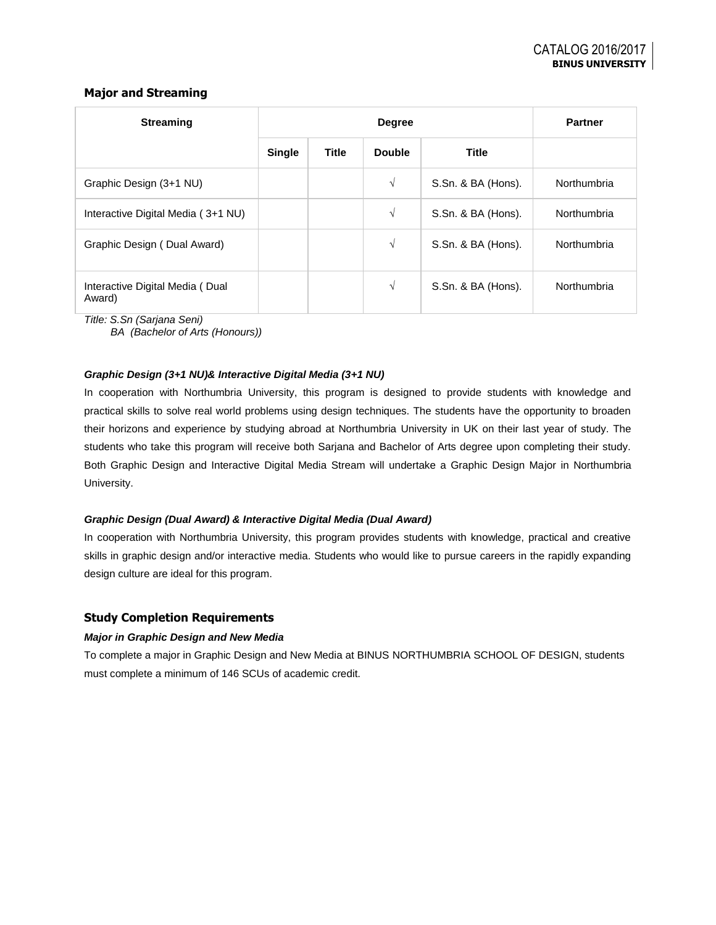# **Major and Streaming**

| <b>Streaming</b>                          | <b>Degree</b> |              |               | <b>Partner</b>     |             |
|-------------------------------------------|---------------|--------------|---------------|--------------------|-------------|
|                                           | <b>Single</b> | <b>Title</b> | <b>Double</b> | <b>Title</b>       |             |
| Graphic Design (3+1 NU)                   |               |              | $\sqrt{ }$    | S.Sn. & BA (Hons). | Northumbria |
| Interactive Digital Media (3+1 NU)        |               |              | $\sqrt{ }$    | S.Sn. & BA (Hons). | Northumbria |
| Graphic Design (Dual Award)               |               |              | $\sqrt{}$     | S.Sn. & BA (Hons). | Northumbria |
| Interactive Digital Media (Dual<br>Award) |               |              | V             | S.Sn. & BA (Hons). | Northumbria |

*Title: S.Sn (Sarjana Seni)*

*BA (Bachelor of Arts (Honours))*

#### *Graphic Design (3+1 NU)& Interactive Digital Media (3+1 NU)*

In cooperation with Northumbria University, this program is designed to provide students with knowledge and practical skills to solve real world problems using design techniques. The students have the opportunity to broaden their horizons and experience by studying abroad at Northumbria University in UK on their last year of study. The students who take this program will receive both Sarjana and Bachelor of Arts degree upon completing their study. Both Graphic Design and Interactive Digital Media Stream will undertake a Graphic Design Major in Northumbria University.

#### *Graphic Design (Dual Award) & Interactive Digital Media (Dual Award)*

In cooperation with Northumbria University, this program provides students with knowledge, practical and creative skills in graphic design and/or interactive media. Students who would like to pursue careers in the rapidly expanding design culture are ideal for this program.

# **Study Completion Requirements**

#### *Major in Graphic Design and New Media*

To complete a major in Graphic Design and New Media at BINUS NORTHUMBRIA SCHOOL OF DESIGN, students must complete a minimum of 146 SCUs of academic credit.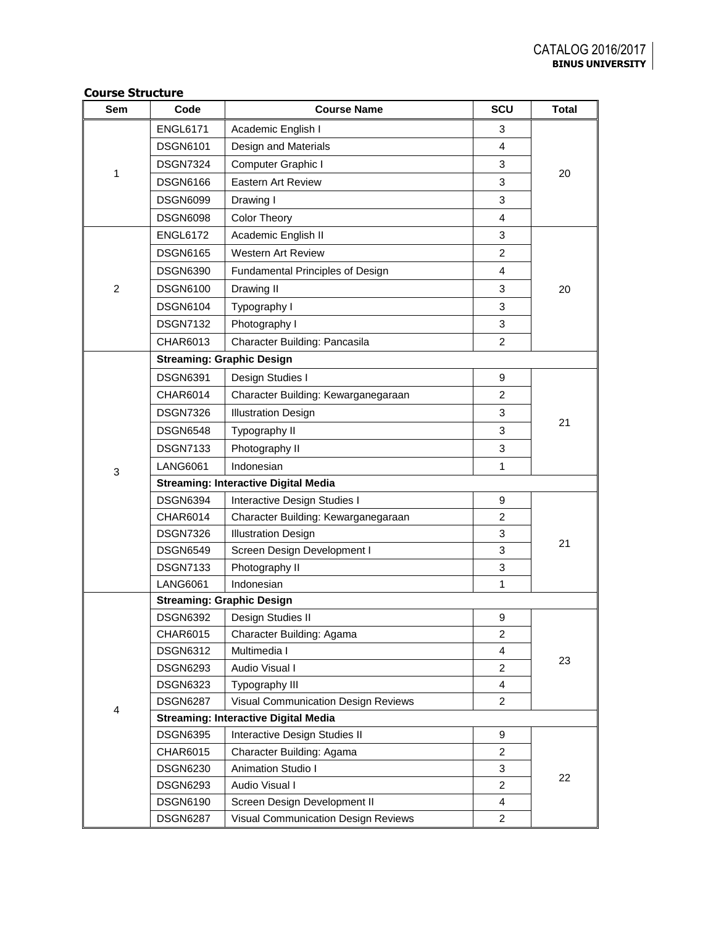| Sem            | Code                                        | <b>Course Name</b>                          | SCU            | <b>Total</b> |  |  |
|----------------|---------------------------------------------|---------------------------------------------|----------------|--------------|--|--|
| 1              | <b>ENGL6171</b>                             | Academic English I                          | 3              |              |  |  |
|                | <b>DSGN6101</b>                             | Design and Materials                        | 4              |              |  |  |
|                | <b>DSGN7324</b>                             | Computer Graphic I                          | 3              |              |  |  |
|                | <b>DSGN6166</b>                             | <b>Eastern Art Review</b>                   | 3              | 20           |  |  |
|                | <b>DSGN6099</b>                             | Drawing I                                   | 3              |              |  |  |
|                | <b>DSGN6098</b>                             | <b>Color Theory</b>                         | $\overline{4}$ |              |  |  |
|                | <b>ENGL6172</b>                             | Academic English II                         | 3              |              |  |  |
|                | <b>DSGN6165</b>                             | <b>Western Art Review</b>                   | $\overline{c}$ |              |  |  |
|                | <b>DSGN6390</b>                             | Fundamental Principles of Design            | 4              |              |  |  |
| $\overline{2}$ | <b>DSGN6100</b>                             | Drawing II                                  | 3              | 20           |  |  |
|                | <b>DSGN6104</b>                             | Typography I                                | 3              |              |  |  |
|                | <b>DSGN7132</b>                             | Photography I                               | 3              |              |  |  |
|                | CHAR6013                                    | Character Building: Pancasila               | 2              |              |  |  |
|                |                                             | <b>Streaming: Graphic Design</b>            |                |              |  |  |
|                | <b>DSGN6391</b>                             | Design Studies I                            | 9              |              |  |  |
|                | CHAR6014                                    | Character Building: Kewarganegaraan         | $\overline{c}$ | 21           |  |  |
|                | <b>DSGN7326</b>                             | <b>Illustration Design</b>                  | 3              |              |  |  |
|                | <b>DSGN6548</b>                             | Typography II                               | 3              |              |  |  |
|                | <b>DSGN7133</b>                             | Photography II                              | 3              |              |  |  |
|                | <b>LANG6061</b>                             | Indonesian                                  | 1              |              |  |  |
| 3              | <b>Streaming: Interactive Digital Media</b> |                                             |                |              |  |  |
|                | <b>DSGN6394</b>                             | Interactive Design Studies I                | 9              |              |  |  |
|                | CHAR6014                                    | Character Building: Kewarganegaraan         | 2              | 21           |  |  |
|                | <b>DSGN7326</b>                             | <b>Illustration Design</b>                  | 3              |              |  |  |
|                | <b>DSGN6549</b>                             | Screen Design Development I                 | 3              |              |  |  |
|                | <b>DSGN7133</b>                             | Photography II                              | 3              |              |  |  |
|                | <b>LANG6061</b>                             | Indonesian                                  | 1              |              |  |  |
|                |                                             | <b>Streaming: Graphic Design</b>            |                |              |  |  |
|                | <b>DSGN6392</b>                             | Design Studies II                           | 9              |              |  |  |
|                | CHAR6015                                    | Character Building: Agama                   | 2              |              |  |  |
|                | <b>DSGN6312</b>                             | Multimedia I                                | 4              | 23           |  |  |
|                | <b>DSGN6293</b>                             | Audio Visual I                              | $\overline{c}$ |              |  |  |
|                | <b>DSGN6323</b>                             | Typography III                              | 4              |              |  |  |
| 4              | <b>DSGN6287</b>                             | Visual Communication Design Reviews         | $\overline{c}$ |              |  |  |
|                |                                             | <b>Streaming: Interactive Digital Media</b> |                |              |  |  |
|                | <b>DSGN6395</b>                             | Interactive Design Studies II<br>9          |                |              |  |  |
|                | CHAR6015                                    | Character Building: Agama                   | $\overline{c}$ |              |  |  |
|                | <b>DSGN6230</b>                             | Animation Studio I                          | 3              | 22           |  |  |
|                | <b>DSGN6293</b>                             | Audio Visual I                              | $\overline{c}$ |              |  |  |
|                | <b>DSGN6190</b>                             | Screen Design Development II                | 4              |              |  |  |
|                | <b>DSGN6287</b>                             | Visual Communication Design Reviews         | 2              |              |  |  |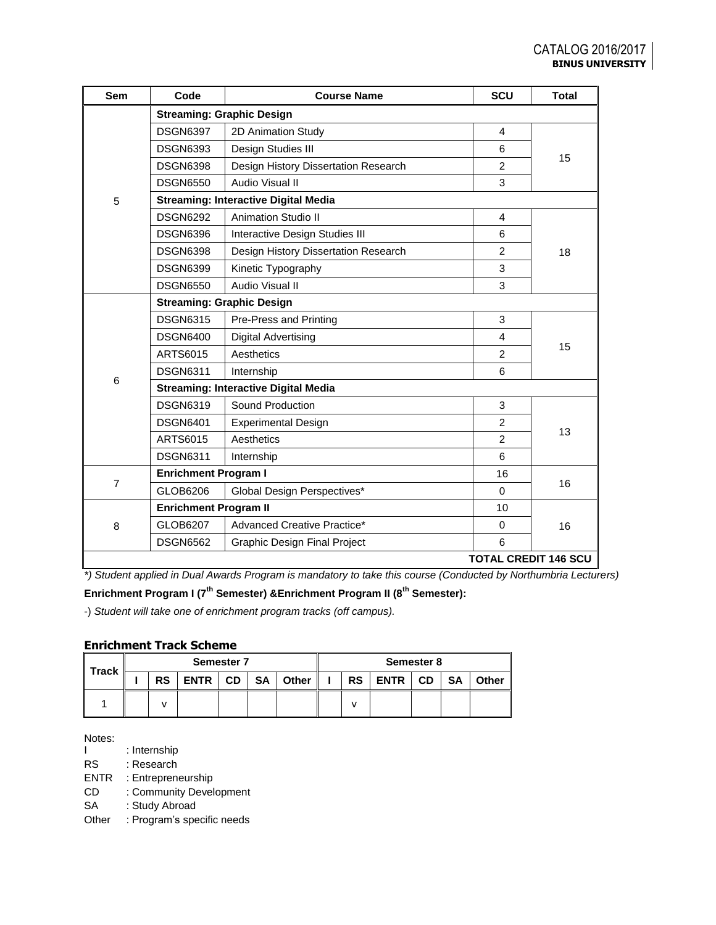| Sem                 | Code                                        | <b>Course Name</b>                          | SCU                         | <b>Total</b> |  |  |  |
|---------------------|---------------------------------------------|---------------------------------------------|-----------------------------|--------------|--|--|--|
|                     | <b>Streaming: Graphic Design</b>            |                                             |                             |              |  |  |  |
|                     | <b>DSGN6397</b>                             | 2D Animation Study                          | $\overline{4}$              |              |  |  |  |
|                     | <b>DSGN6393</b>                             | Design Studies III                          | 6                           |              |  |  |  |
|                     | <b>DSGN6398</b>                             | Design History Dissertation Research        | $\overline{2}$              | 15           |  |  |  |
|                     | <b>DSGN6550</b>                             | Audio Visual II                             | 3                           |              |  |  |  |
| 5                   |                                             | <b>Streaming: Interactive Digital Media</b> |                             |              |  |  |  |
|                     | <b>DSGN6292</b>                             | <b>Animation Studio II</b>                  | 4                           |              |  |  |  |
|                     | <b>DSGN6396</b>                             | Interactive Design Studies III              | 6                           |              |  |  |  |
|                     | <b>DSGN6398</b>                             | Design History Dissertation Research        | 2                           | 18           |  |  |  |
|                     | <b>DSGN6399</b>                             | Kinetic Typography                          | 3                           |              |  |  |  |
|                     | <b>DSGN6550</b>                             | Audio Visual II                             | 3                           |              |  |  |  |
|                     | <b>Streaming: Graphic Design</b>            |                                             |                             |              |  |  |  |
|                     | <b>DSGN6315</b>                             | Pre-Press and Printing                      | 3                           |              |  |  |  |
|                     | <b>DSGN6400</b>                             | <b>Digital Advertising</b>                  | $\overline{4}$              |              |  |  |  |
|                     | ARTS6015                                    | Aesthetics                                  | 2                           | 15           |  |  |  |
| 6<br>$\overline{7}$ | <b>DSGN6311</b>                             | Internship                                  | 6                           |              |  |  |  |
|                     | <b>Streaming: Interactive Digital Media</b> |                                             |                             |              |  |  |  |
|                     | <b>DSGN6319</b>                             | Sound Production                            | 3                           |              |  |  |  |
|                     | <b>DSGN6401</b>                             | <b>Experimental Design</b>                  | 2                           |              |  |  |  |
|                     | ARTS6015                                    | Aesthetics                                  | $\overline{2}$              | 13           |  |  |  |
|                     | <b>DSGN6311</b>                             | Internship                                  | 6                           |              |  |  |  |
|                     | <b>Enrichment Program I</b>                 |                                             | 16                          |              |  |  |  |
|                     | GLOB6206                                    | Global Design Perspectives*                 | $\Omega$                    | 16           |  |  |  |
|                     | <b>Enrichment Program II</b>                |                                             | 10                          |              |  |  |  |
| 8                   | GLOB6207                                    | Advanced Creative Practice*                 | $\Omega$                    | 16           |  |  |  |
|                     | <b>DSGN6562</b>                             | Graphic Design Final Project                | 6                           |              |  |  |  |
|                     |                                             |                                             | <b>TOTAL CREDIT 146 SCU</b> |              |  |  |  |

*\*) Student applied in Dual Awards Program is mandatory to take this course (Conducted by Northumbria Lecturers)*

**Enrichment Program I (7th Semester) &Enrichment Program II (8th Semester):**

-) *Student will take one of enrichment program tracks (off campus).*

# **Enrichment Track Scheme**

| <b>Track</b> | <b>Semester 7</b> |           |      |           | Semester 8 |       |  |           |           |  |           |       |
|--------------|-------------------|-----------|------|-----------|------------|-------|--|-----------|-----------|--|-----------|-------|
|              |                   | <b>RS</b> | ENTR | <b>CD</b> | SA         | Other |  | <b>RS</b> | ENTR   CD |  | <b>SA</b> | Other |
|              |                   |           |      |           |            |       |  |           |           |  |           |       |

Notes:<br>I

: Internship RS : Research

ENTR : Entrepreneurship

CD : Community Development

SA : Study Abroad

Other : Program's specific needs